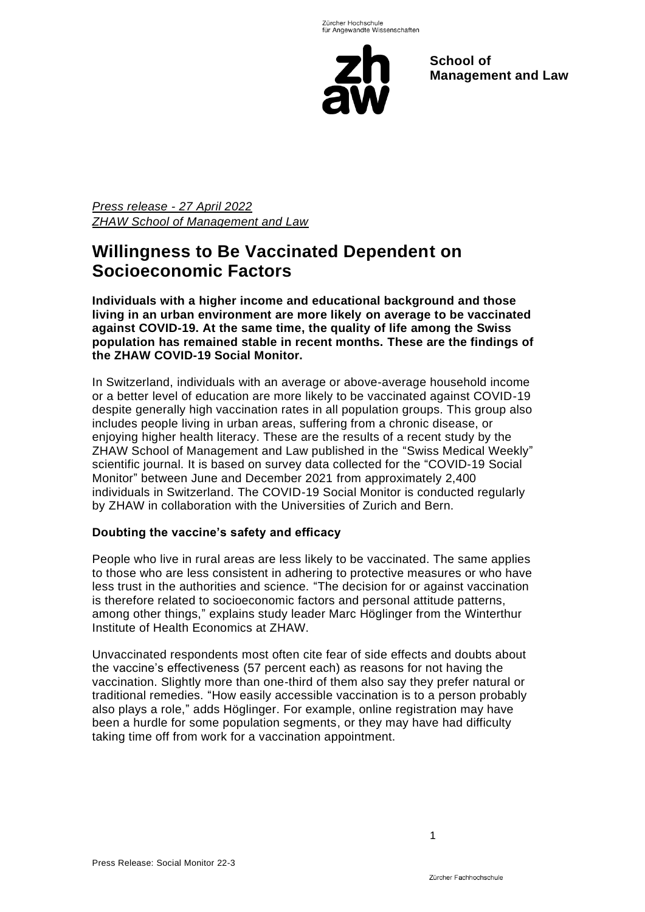

**School of Management and Law** 

*Press release - 27 April 2022 ZHAW School of Management and Law*

# **Willingness to Be Vaccinated Dependent on Socioeconomic Factors**

**Individuals with a higher income and educational background and those living in an urban environment are more likely on average to be vaccinated against COVID-19. At the same time, the quality of life among the Swiss population has remained stable in recent months. These are the findings of the ZHAW COVID-19 Social Monitor.**

In Switzerland, individuals with an average or above-average household income or a better level of education are more likely to be vaccinated against COVID-19 despite generally high vaccination rates in all population groups. This group also includes people living in urban areas, suffering from a chronic disease, or enjoying higher health literacy. These are the results of a recent study by the ZHAW School of Management and Law published in the "Swiss Medical Weekly" scientific journal. It is based on survey data collected for the "COVID-19 Social Monitor" between June and December 2021 from approximately 2,400 individuals in Switzerland. The COVID-19 Social Monitor is conducted regularly by ZHAW in collaboration with the Universities of Zurich and Bern.

### **Doubting the vaccine's safety and efficacy**

People who live in rural areas are less likely to be vaccinated. The same applies to those who are less consistent in adhering to protective measures or who have less trust in the authorities and science. "The decision for or against vaccination is therefore related to socioeconomic factors and personal attitude patterns, among other things," explains study leader Marc Höglinger from the Winterthur Institute of Health Economics at ZHAW.

Unvaccinated respondents most often cite fear of side effects and doubts about the vaccine's effectiveness (57 percent each) as reasons for not having the vaccination. Slightly more than one-third of them also say they prefer natural or traditional remedies. "How easily accessible vaccination is to a person probably also plays a role," adds Höglinger. For example, online registration may have been a hurdle for some population segments, or they may have had difficulty taking time off from work for a vaccination appointment.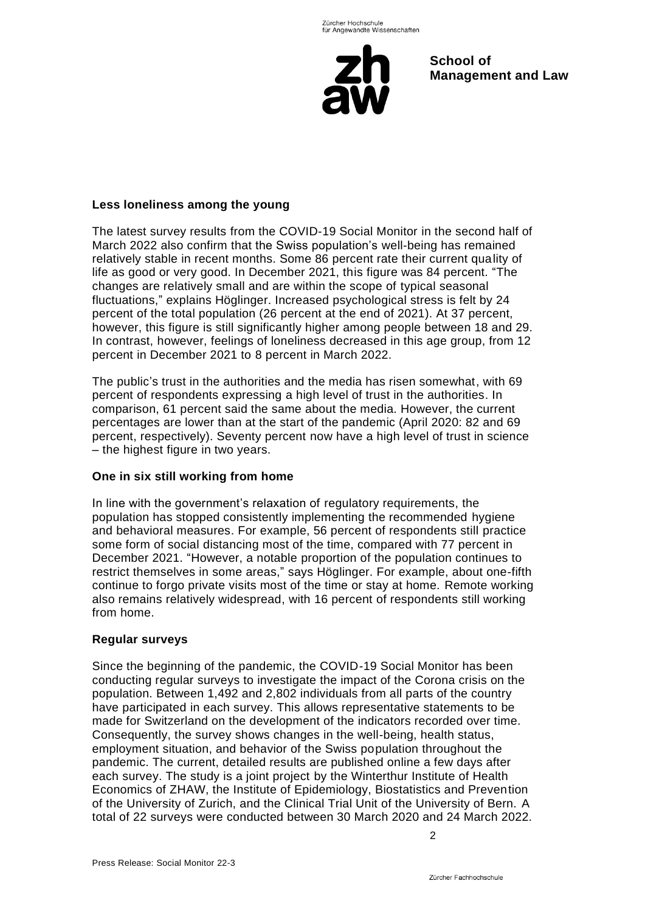

**School of Management and Law** 

### **Less loneliness among the young**

The latest survey results from the COVID-19 Social Monitor in the second half of March 2022 also confirm that the Swiss population's well-being has remained relatively stable in recent months. Some 86 percent rate their current quality of life as good or very good. In December 2021, this figure was 84 percent. "The changes are relatively small and are within the scope of typical seasonal fluctuations," explains Höglinger. Increased psychological stress is felt by 24 percent of the total population (26 percent at the end of 2021). At 37 percent, however, this figure is still significantly higher among people between 18 and 29. In contrast, however, feelings of loneliness decreased in this age group, from 12 percent in December 2021 to 8 percent in March 2022.

The public's trust in the authorities and the media has risen somewhat, with 69 percent of respondents expressing a high level of trust in the authorities. In comparison, 61 percent said the same about the media. However, the current percentages are lower than at the start of the pandemic (April 2020: 82 and 69 percent, respectively). Seventy percent now have a high level of trust in science – the highest figure in two years.

### **One in six still working from home**

In line with the government's relaxation of regulatory requirements, the population has stopped consistently implementing the recommended hygiene and behavioral measures. For example, 56 percent of respondents still practice some form of social distancing most of the time, compared with 77 percent in December 2021. "However, a notable proportion of the population continues to restrict themselves in some areas," says Höglinger. For example, about one-fifth continue to forgo private visits most of the time or stay at home. Remote working also remains relatively widespread, with 16 percent of respondents still working from home.

### **Regular surveys**

Since the beginning of the pandemic, the COVID-19 Social Monitor has been conducting regular surveys to investigate the impact of the Corona crisis on the population. Between 1,492 and 2,802 individuals from all parts of the country have participated in each survey. This allows representative statements to be made for Switzerland on the development of the indicators recorded over time. Consequently, the survey shows changes in the well-being, health status, employment situation, and behavior of the Swiss population throughout the pandemic. The current, detailed results are published online a few days after each survey. The study is a joint project by the Winterthur Institute of Health Economics of ZHAW, the Institute of Epidemiology, Biostatistics and Prevention of the University of Zurich, and the Clinical Trial Unit of the University of Bern. A total of 22 surveys were conducted between 30 March 2020 and 24 March 2022.